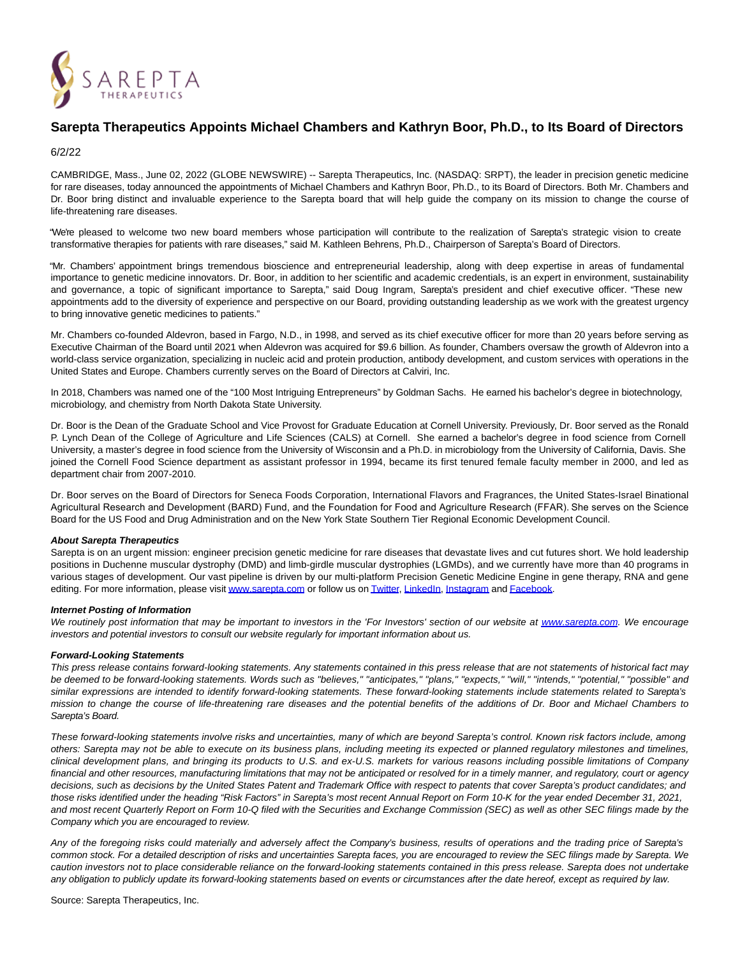

# **Sarepta Therapeutics Appoints Michael Chambers and Kathryn Boor, Ph.D., to Its Board of Directors**

## 6/2/22

CAMBRIDGE, Mass., June 02, 2022 (GLOBE NEWSWIRE) -- Sarepta Therapeutics, Inc. (NASDAQ: SRPT), the leader in precision genetic medicine for rare diseases, today announced the appointments of Michael Chambers and Kathryn Boor, Ph.D., to its Board of Directors. Both Mr. Chambers and Dr. Boor bring distinct and invaluable experience to the Sarepta board that will help guide the company on its mission to change the course of life-threatening rare diseases.

"We're pleased to welcome two new board members whose participation will contribute to the realization of Sarepta's strategic vision to create transformative therapies for patients with rare diseases," said M. Kathleen Behrens, Ph.D., Chairperson of Sarepta's Board of Directors.

"Mr. Chambers' appointment brings tremendous bioscience and entrepreneurial leadership, along with deep expertise in areas of fundamental importance to genetic medicine innovators. Dr. Boor, in addition to her scientific and academic credentials, is an expert in environment, sustainability and governance, a topic of significant importance to Sarepta," said Doug Ingram, Sarepta's president and chief executive officer. "These new appointments add to the diversity of experience and perspective on our Board, providing outstanding leadership as we work with the greatest urgency to bring innovative genetic medicines to patients."

Mr. Chambers co-founded Aldevron, based in Fargo, N.D., in 1998, and served as its chief executive officer for more than 20 years before serving as Executive Chairman of the Board until 2021 when Aldevron was acquired for \$9.6 billion. As founder, Chambers oversaw the growth of Aldevron into a world-class service organization, specializing in nucleic acid and protein production, antibody development, and custom services with operations in the United States and Europe. Chambers currently serves on the Board of Directors at Calviri, Inc.

In 2018, Chambers was named one of the "100 Most Intriguing Entrepreneurs" by Goldman Sachs. He earned his bachelor's degree in biotechnology, microbiology, and chemistry from North Dakota State University.

Dr. Boor is the Dean of the Graduate School and Vice Provost for Graduate Education at Cornell University. Previously, Dr. Boor served as the Ronald P. Lynch Dean of the College of Agriculture and Life Sciences (CALS) at Cornell. She earned a bachelor's degree in food science from Cornell University, a master's degree in food science from the University of Wisconsin and a Ph.D. in microbiology from the University of California, Davis. She joined the Cornell Food Science department as assistant professor in 1994, became its first tenured female faculty member in 2000, and led as department chair from 2007-2010.

Dr. Boor serves on the Board of Directors for Seneca Foods Corporation, International Flavors and Fragrances, the United States-Israel Binational Agricultural Research and Development (BARD) Fund, and the Foundation for Food and Agriculture Research (FFAR). She serves on the Science Board for the US Food and Drug Administration and on the New York State Southern Tier Regional Economic Development Council.

### **About Sarepta Therapeutics**

Sarepta is on an urgent mission: engineer precision genetic medicine for rare diseases that devastate lives and cut futures short. We hold leadership positions in Duchenne muscular dystrophy (DMD) and limb-girdle muscular dystrophies (LGMDs), and we currently have more than 40 programs in various stages of development. Our vast pipeline is driven by our multi-platform Precision Genetic Medicine Engine in gene therapy, RNA and gene editing. For more information, please visi[t www.sarepta.com o](https://www.globenewswire.com/Tracker?data=nnAzThfmlv2reWKlTNURbZyhnjblGqOJuopBkmdZCK-sUlhHz_HHWcRG5wTvW0kwSQVZg9JcukAOF1DaONazOA==)r follow us o[n Twitter,](https://www.globenewswire.com/Tracker?data=0uQBx_3Co54z71BL_LTpq5DeQoR2fdEp0aZPlMR7-Nvhd9xiXiUx2Kio42y9AHdMCced4__hwNNqKY3ZOIhKng==) [LinkedIn,](https://www.globenewswire.com/Tracker?data=amhV118CP1Pk_4np0KNbq0GGeo2g3txjk2d_DZ4MYgK1daXpWE3g_50xNIw_AodVmwBNROdj2TucPdU3W1tDfm3f9a0qOalfQG_ULIVyr9DvY7Wym3XzAR5tTNmL7yX7) [Instagram a](https://www.globenewswire.com/Tracker?data=YpNVmA3u29mi0uVHM1-iL4kgpkksM-Fri3U-VGdYorwKefsBO76DLb8GBNxbmD_0jAVLNkBqhdHTfs8WlH3wgAaiRTBQUsx6MBPP2QNaqrQ=)nd Eacebook.

### **Internet Posting of Information**

We routinely post information that may be important to investors in the 'For Investors' section of our website at [www.sarepta.com.](https://www.globenewswire.com/Tracker?data=nnAzThfmlv2reWKlTNURbbA45BxiacH2w6YVhP0wMQ9fa0kZApBxY_MShlDCiZ0VYtH7MTwycIPauHm4_2t_jg==) We encourage investors and potential investors to consult our website regularly for important information about us.

### **Forward-Looking Statements**

This press release contains forward-looking statements. Any statements contained in this press release that are not statements of historical fact may be deemed to be forward-looking statements. Words such as "believes," "anticipates," "plans," "expects," "will," "intends," "potential," "possible" and similar expressions are intended to identify forward-looking statements. These forward-looking statements include statements related to Sarepta's mission to change the course of life-threatening rare diseases and the potential benefits of the additions of Dr. Boor and Michael Chambers to Sarepta's Board.

These forward-looking statements involve risks and uncertainties, many of which are beyond Sarepta's control. Known risk factors include, among others: Sarepta may not be able to execute on its business plans, including meeting its expected or planned regulatory milestones and timelines, clinical development plans, and bringing its products to U.S. and ex-U.S. markets for various reasons including possible limitations of Company financial and other resources, manufacturing limitations that may not be anticipated or resolved for in a timely manner, and regulatory, court or agency decisions, such as decisions by the United States Patent and Trademark Office with respect to patents that cover Sarepta's product candidates; and those risks identified under the heading "Risk Factors" in Sarepta's most recent Annual Report on Form 10-K for the year ended December 31, 2021, and most recent Quarterly Report on Form 10-Q filed with the Securities and Exchange Commission (SEC) as well as other SEC filings made by the Company which you are encouraged to review.

Any of the foregoing risks could materially and adversely affect the Company's business, results of operations and the trading price of Sarepta's common stock. For a detailed description of risks and uncertainties Sarepta faces, you are encouraged to review the SEC filings made by Sarepta. We caution investors not to place considerable reliance on the forward-looking statements contained in this press release. Sarepta does not undertake any obligation to publicly update its forward-looking statements based on events or circumstances after the date hereof, except as required by law.